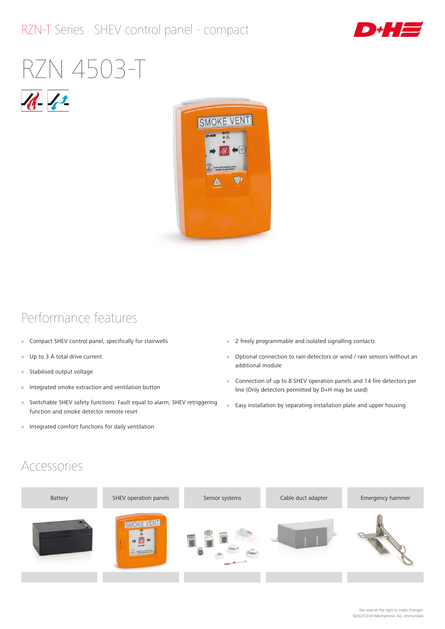#### RZN-T Series SHEV control panel - compact



# RZN 4503-T





#### Performance features

- » Compact SHEV control panel, specifically for stairwells
- » Up to 3 A total drive current
- » Stabilised output voltage
- » Integrated smoke extraction and ventilation button
- » Switchable SHEV safety functions: Fault equal to alarm, SHEV retriggering function and smoke detector remote reset
- » Integrated comfort functions for daily ventilation
- » 2 freely programmable and isolated signalling contacts
- » Optional connection to rain detectors or wind / rain sensors without an additional module
- » Connection of up to 8 SHEV operation panels and 14 fire detectors per line (Only detectors permitted by D+H may be used)
- » Easy installation by separating installation plate and upper housing

#### Accessories